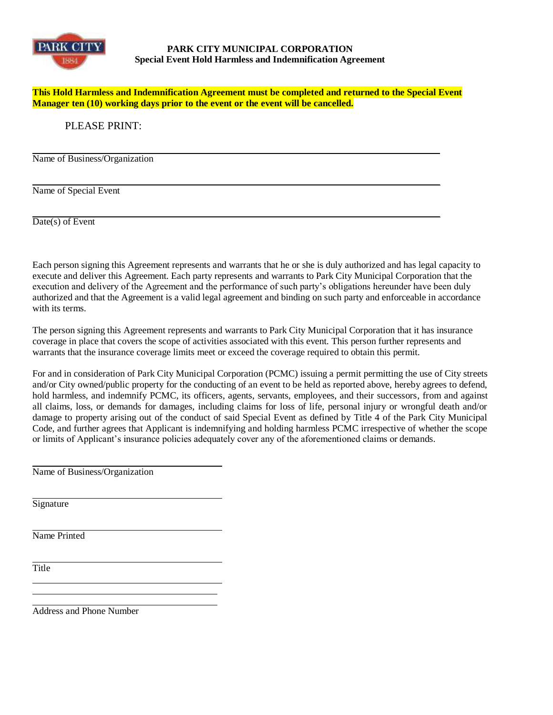

## **PARK CITY MUNICIPAL CORPORATION Special Event Hold Harmless and Indemnification Agreement**

**This Hold Harmless and Indemnification Agreement must be completed and returned to the Special Event Manager ten (10) working days prior to the event or the event will be cancelled.**

## PLEASE PRINT:

Name of Business/Organization

Name of Special Event

Date(s) of Event

Each person signing this Agreement represents and warrants that he or she is duly authorized and has legal capacity to execute and deliver this Agreement. Each party represents and warrants to Park City Municipal Corporation that the execution and delivery of the Agreement and the performance of such party's obligations hereunder have been duly authorized and that the Agreement is a valid legal agreement and binding on such party and enforceable in accordance with its terms.

The person signing this Agreement represents and warrants to Park City Municipal Corporation that it has insurance coverage in place that covers the scope of activities associated with this event. This person further represents and warrants that the insurance coverage limits meet or exceed the coverage required to obtain this permit.

For and in consideration of Park City Municipal Corporation (PCMC) issuing a permit permitting the use of City streets and/or City owned/public property for the conducting of an event to be held as reported above, hereby agrees to defend, hold harmless, and indemnify PCMC, its officers, agents, servants, employees, and their successors, from and against all claims, loss, or demands for damages, including claims for loss of life, personal injury or wrongful death and/or damage to property arising out of the conduct of said Special Event as defined by Title 4 of the Park City Municipal Code, and further agrees that Applicant is indemnifying and holding harmless PCMC irrespective of whether the scope or limits of Applicant's insurance policies adequately cover any of the aforementioned claims or demands.

Name of Business/Organization

Signature

Name Printed

**Title** 

Address and Phone Number